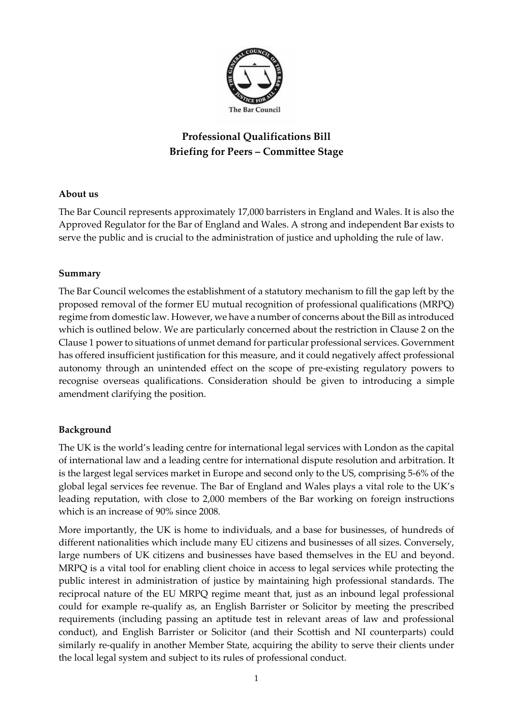

# **Professional Qualifications Bill Briefing for Peers – Committee Stage**

### **About us**

The Bar Council represents approximately 17,000 barristers in England and Wales. It is also the Approved Regulator for the Bar of England and Wales. A strong and independent Bar exists to serve the public and is crucial to the administration of justice and upholding the rule of law.

#### **Summary**

The Bar Council welcomes the establishment of a statutory mechanism to fill the gap left by the proposed removal of the former EU mutual recognition of professional qualifications (MRPQ) regime from domestic law. However, we have a number of concerns about the Bill as introduced which is outlined below. We are particularly concerned about the restriction in Clause 2 on the Clause 1 power to situations of unmet demand for particular professional services. Government has offered insufficient justification for this measure, and it could negatively affect professional autonomy through an unintended effect on the scope of pre-existing regulatory powers to recognise overseas qualifications. Consideration should be given to introducing a simple amendment clarifying the position.

### **Background**

The UK is the world's leading centre for international legal services with London as the capital of international law and a leading centre for international dispute resolution and arbitration. It is the largest legal services market in Europe and second only to the US, comprising 5-6% of the global legal services fee revenue. The Bar of England and Wales plays a vital role to the UK's leading reputation, with close to 2,000 members of the Bar working on foreign instructions which is an increase of 90% since 2008.

More importantly, the UK is home to individuals, and a base for businesses, of hundreds of different nationalities which include many EU citizens and businesses of all sizes. Conversely, large numbers of UK citizens and businesses have based themselves in the EU and beyond. MRPQ is a vital tool for enabling client choice in access to legal services while protecting the public interest in administration of justice by maintaining high professional standards. The reciprocal nature of the EU MRPQ regime meant that, just as an inbound legal professional could for example re-qualify as, an English Barrister or Solicitor by meeting the prescribed requirements (including passing an aptitude test in relevant areas of law and professional conduct), and English Barrister or Solicitor (and their Scottish and NI counterparts) could similarly re-qualify in another Member State, acquiring the ability to serve their clients under the local legal system and subject to its rules of professional conduct.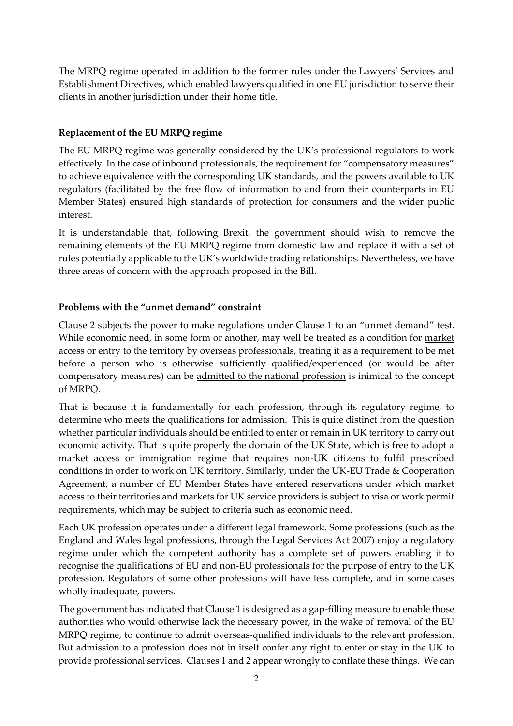The MRPQ regime operated in addition to the former rules under the Lawyers' Services and Establishment Directives, which enabled lawyers qualified in one EU jurisdiction to serve their clients in another jurisdiction under their home title.

## **Replacement of the EU MRPQ regime**

The EU MRPQ regime was generally considered by the UK's professional regulators to work effectively. In the case of inbound professionals, the requirement for "compensatory measures" to achieve equivalence with the corresponding UK standards, and the powers available to UK regulators (facilitated by the free flow of information to and from their counterparts in EU Member States) ensured high standards of protection for consumers and the wider public interest.

It is understandable that, following Brexit, the government should wish to remove the remaining elements of the EU MRPQ regime from domestic law and replace it with a set of rules potentially applicable to the UK's worldwide trading relationships. Nevertheless, we have three areas of concern with the approach proposed in the Bill.

## **Problems with the "unmet demand" constraint**

Clause 2 subjects the power to make regulations under Clause 1 to an "unmet demand" test. While economic need, in some form or another, may well be treated as a condition for market access or entry to the territory by overseas professionals, treating it as a requirement to be met before a person who is otherwise sufficiently qualified/experienced (or would be after compensatory measures) can be admitted to the national profession is inimical to the concept of MRPQ.

That is because it is fundamentally for each profession, through its regulatory regime, to determine who meets the qualifications for admission. This is quite distinct from the question whether particular individuals should be entitled to enter or remain in UK territory to carry out economic activity. That is quite properly the domain of the UK State, which is free to adopt a market access or immigration regime that requires non-UK citizens to fulfil prescribed conditions in order to work on UK territory. Similarly, under the UK-EU Trade & Cooperation Agreement, a number of EU Member States have entered reservations under which market access to their territories and markets for UK service providers is subject to visa or work permit requirements, which may be subject to criteria such as economic need.

Each UK profession operates under a different legal framework. Some professions (such as the England and Wales legal professions, through the Legal Services Act 2007) enjoy a regulatory regime under which the competent authority has a complete set of powers enabling it to recognise the qualifications of EU and non-EU professionals for the purpose of entry to the UK profession. Regulators of some other professions will have less complete, and in some cases wholly inadequate, powers.

The government has indicated that Clause 1 is designed as a gap-filling measure to enable those authorities who would otherwise lack the necessary power, in the wake of removal of the EU MRPQ regime, to continue to admit overseas-qualified individuals to the relevant profession. But admission to a profession does not in itself confer any right to enter or stay in the UK to provide professional services. Clauses 1 and 2 appear wrongly to conflate these things. We can